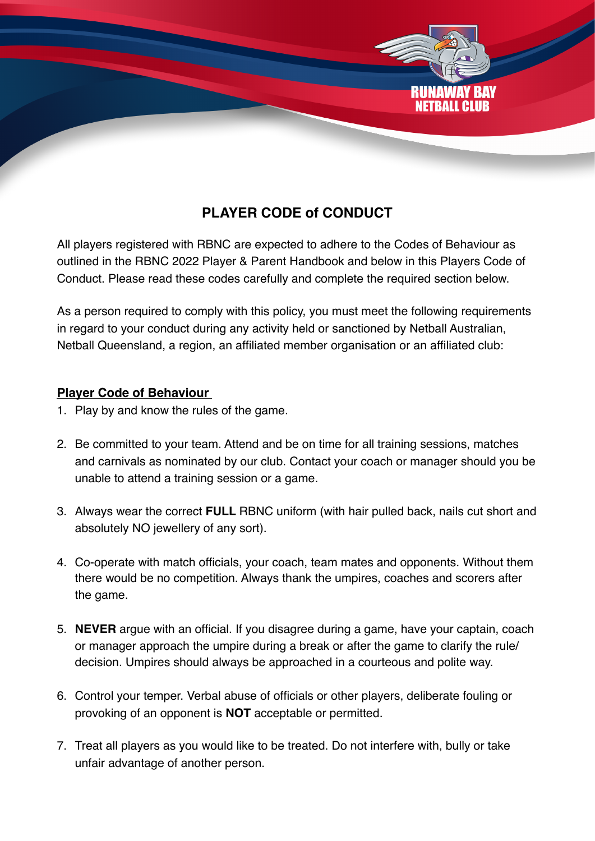

## **PLAYER CODE of CONDUCT**

All players registered with RBNC are expected to adhere to the Codes of Behaviour as outlined in the RBNC 2022 Player & Parent Handbook and below in this Players Code of Conduct. Please read these codes carefully and complete the required section below.

As a person required to comply with this policy, you must meet the following requirements in regard to your conduct during any activity held or sanctioned by Netball Australian, Netball Queensland, a region, an affiliated member organisation or an affiliated club:

## **Player Code of Behaviour**

- 1. Play by and know the rules of the game.
- 2. Be committed to your team. Attend and be on time for all training sessions, matches and carnivals as nominated by our club. Contact your coach or manager should you be unable to attend a training session or a game.
- 3. Always wear the correct **FULL** RBNC uniform (with hair pulled back, nails cut short and absolutely NO jewellery of any sort).
- 4. Co-operate with match officials, your coach, team mates and opponents. Without them there would be no competition. Always thank the umpires, coaches and scorers after the game.
- 5. **NEVER** argue with an official. If you disagree during a game, have your captain, coach or manager approach the umpire during a break or after the game to clarify the rule/ decision. Umpires should always be approached in a courteous and polite way.
- 6. Control your temper. Verbal abuse of officials or other players, deliberate fouling or provoking of an opponent is **NOT** acceptable or permitted.
- 7. Treat all players as you would like to be treated. Do not interfere with, bully or take unfair advantage of another person.